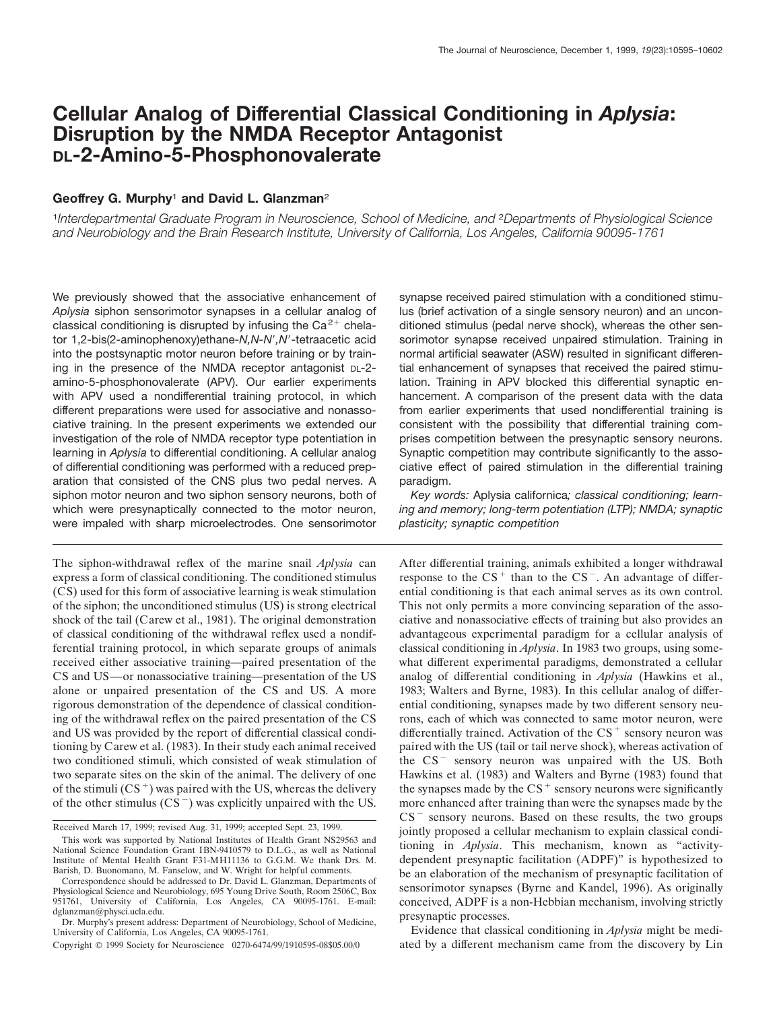# **Cellular Analog of Differential Classical Conditioning in** *Aplysia***: Disruption by the NMDA Receptor Antagonist DL-2-Amino-5-Phosphonovalerate**

# **Geoffrey G. Murphy**<sup>1</sup> **and David L. Glanzman**<sup>2</sup>

<sup>1</sup>*Interdepartmental Graduate Program in Neuroscience, School of Medicine, and* <sup>2</sup>*Departments of Physiological Science and Neurobiology and the Brain Research Institute, University of California, Los Angeles, California 90095-1761*

We previously showed that the associative enhancement of *Aplysia* siphon sensorimotor synapses in a cellular analog of classical conditioning is disrupted by infusing the  $Ca^{2+}$  chelator 1,2-bis(2-aminophenoxy)ethane-N,N-N',N'-tetraacetic acid into the postsynaptic motor neuron before training or by training in the presence of the NMDA receptor antagonist DL-2 amino-5-phosphonovalerate (APV). Our earlier experiments with APV used a nondifferential training protocol, in which different preparations were used for associative and nonassociative training. In the present experiments we extended our investigation of the role of NMDA receptor type potentiation in learning in *Aplysia* to differential conditioning. A cellular analog of differential conditioning was performed with a reduced preparation that consisted of the CNS plus two pedal nerves. A siphon motor neuron and two siphon sensory neurons, both of which were presynaptically connected to the motor neuron, were impaled with sharp microelectrodes. One sensorimotor

The siphon-withdrawal reflex of the marine snail *Aplysia* can express a form of classical conditioning. The conditioned stimulus (CS) used for this form of associative learning is weak stimulation of the siphon; the unconditioned stimulus (US) is strong electrical shock of the tail (Carew et al., 1981). The original demonstration of classical conditioning of the withdrawal reflex used a nondifferential training protocol, in which separate groups of animals received either associative training—paired presentation of the CS and US—or nonassociative training—presentation of the US alone or unpaired presentation of the CS and US. A more rigorous demonstration of the dependence of classical conditioning of the withdrawal reflex on the paired presentation of the CS and US was provided by the report of differential classical conditioning by Carew et al. (1983). In their study each animal received two conditioned stimuli, which consisted of weak stimulation of two separate sites on the skin of the animal. The delivery of one of the stimuli  $(CS<sup>+</sup>)$  was paired with the US, whereas the delivery of the other stimulus  $(CS<sup>-</sup>)$  was explicitly unpaired with the US.

Copyright © 1999 Society for Neuroscience 0270-6474/99/1910595-08\$05.00/0

synapse received paired stimulation with a conditioned stimulus (brief activation of a single sensory neuron) and an unconditioned stimulus (pedal nerve shock), whereas the other sensorimotor synapse received unpaired stimulation. Training in normal artificial seawater (ASW) resulted in significant differential enhancement of synapses that received the paired stimulation. Training in APV blocked this differential synaptic enhancement. A comparison of the present data with the data from earlier experiments that used nondifferential training is consistent with the possibility that differential training comprises competition between the presynaptic sensory neurons. Synaptic competition may contribute significantly to the associative effect of paired stimulation in the differential training paradigm.

*Key words:* Aplysia californica*; classical conditioning; learning and memory; long-term potentiation (LTP); NMDA; synaptic plasticity; synaptic competition*

After differential training, animals exhibited a longer withdrawal response to the  $CS^+$  than to the  $CS^-$ . An advantage of differential conditioning is that each animal serves as its own control. This not only permits a more convincing separation of the associative and nonassociative effects of training but also provides an advantageous experimental paradigm for a cellular analysis of classical conditioning in *Aplysia*. In 1983 two groups, using somewhat different experimental paradigms, demonstrated a cellular analog of differential conditioning in *Aplysia* (Hawkins et al., 1983; Walters and Byrne, 1983). In this cellular analog of differential conditioning, synapses made by two different sensory neurons, each of which was connected to same motor neuron, were differentially trained. Activation of the  $CS$ <sup>+</sup> sensory neuron was paired with the US (tail or tail nerve shock), whereas activation of the  $CS^-$  sensory neuron was unpaired with the US. Both Hawkins et al. (1983) and Walters and Byrne (1983) found that the synapses made by the  $CS<sup>+</sup>$  sensory neurons were significantly more enhanced after training than were the synapses made by the  $CS^-$  sensory neurons. Based on these results, the two groups jointly proposed a cellular mechanism to explain classical conditioning in *Aplysia*. This mechanism, known as "activitydependent presynaptic facilitation (ADPF)" is hypothesized to be an elaboration of the mechanism of presynaptic facilitation of sensorimotor synapses (Byrne and Kandel, 1996). As originally conceived, ADPF is a non-Hebbian mechanism, involving strictly presynaptic processes.

Evidence that classical conditioning in *Aplysia* might be mediated by a different mechanism came from the discovery by Lin

Received March 17, 1999; revised Aug. 31, 1999; accepted Sept. 23, 1999.

This work was supported by National Institutes of Health Grant NS29563 and National Science Foundation Grant IBN-9410579 to D.L.G., as well as National Institute of Mental Health Grant F31-MH11136 to G.G.M. We thank Drs. M. Barish, D. Buonomano, M. Fanselow, and W. Wright for helpful comments.

Correspondence should be addressed to Dr. David L. Glanzman, Departments of Physiological Science and Neurobiology, 695 Young Drive South, Room 2506C, Box 951761, University of California, Los Angeles, CA 90095-1761. E-mail: dglanzman@physci.ucla.edu.

Dr. Murphy's present address: Department of Neurobiology, School of Medicine, University of California, Los Angeles, CA 90095-1761.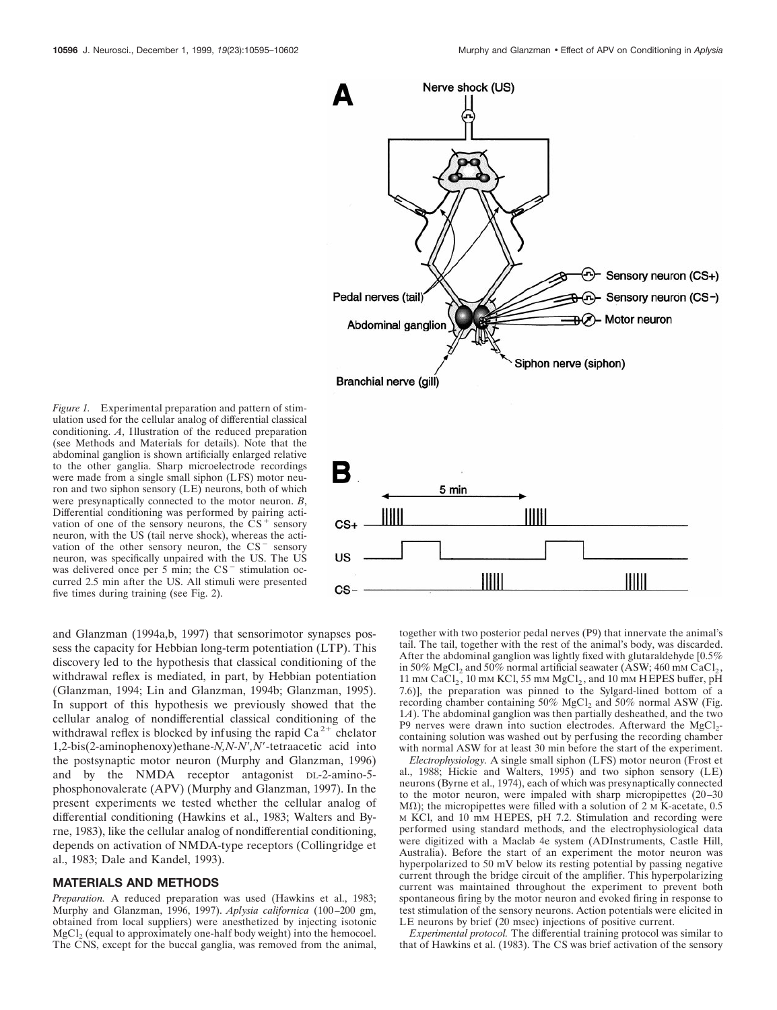

5 min

 $\parallel$ 

 $CS+$ 

US

cs-

Nerve shock (US)

*Figure 1.* Experimental preparation and pattern of stimulation used for the cellular analog of differential classical conditioning. *A*, Illustration of the reduced preparation (see Methods and Materials for details). Note that the abdominal ganglion is shown artificially enlarged relative to the other ganglia. Sharp microelectrode recordings were made from a single small siphon (LFS) motor neuron and two siphon sensory (LE) neurons, both of which were presynaptically connected to the motor neuron. *B*, Differential conditioning was performed by pairing activation of one of the sensory neurons, the  $CS^+$  sensory neuron, with the US (tail nerve shock), whereas the activation of the other sensory neuron, the  $CS^-$  sensory neuron, was specifically unpaired with the US. The US was delivered once per 5 min; the  $CS^-$  stimulation occurred 2.5 min after the US. All stimuli were presented five times during training (see Fig. 2).

and Glanzman (1994a,b, 1997) that sensorimotor synapses possess the capacity for Hebbian long-term potentiation (LTP). This discovery led to the hypothesis that classical conditioning of the withdrawal reflex is mediated, in part, by Hebbian potentiation (Glanzman, 1994; Lin and Glanzman, 1994b; Glanzman, 1995). In support of this hypothesis we previously showed that the cellular analog of nondifferential classical conditioning of the withdrawal reflex is blocked by infusing the rapid  $Ca^{2+}$  chelator 1,2-bis(2-aminophenoxy)ethane-*N,N-N',N'*-tetraacetic acid into the postsynaptic motor neuron (Murphy and Glanzman, 1996) and by the NMDA receptor antagonist DL-2-amino-5 phosphonovalerate (APV) (Murphy and Glanzman, 1997). In the present experiments we tested whether the cellular analog of differential conditioning (Hawkins et al., 1983; Walters and Byrne, 1983), like the cellular analog of nondifferential conditioning, depends on activation of NMDA-type receptors (Collingridge et al., 1983; Dale and Kandel, 1993).

# **MATERIALS AND METHODS**

*Preparation.* A reduced preparation was used (Hawkins et al., 1983; Murphy and Glanzman, 1996, 1997). *Aplysia californica* (100–200 gm, obtained from local suppliers) were anesthetized by injecting isotonic  $MgCl<sub>2</sub>$  (equal to approximately one-half body weight) into the hemocoel. The CNS, except for the buccal ganglia, was removed from the animal,

together with two posterior pedal nerves (P9) that innervate the animal's tail. The tail, together with the rest of the animal's body, was discarded. After the abdominal ganglion was lightly fixed with glutaraldehyde [0.5% in 50% MgCl<sub>2</sub> and 50% normal artificial seawater (ASW; 460 mm CaCl<sub>2</sub>, 11 mm CaCl<sub>2</sub>, 10 mm KCl, 55 mm  $MgCl<sub>2</sub>$ , and 10 mm HEPES buffer, pH 7.6)], the preparation was pinned to the Sylgard-lined bottom of a recording chamber containing  $50\%$  MgCl<sub>2</sub> and  $50\%$  normal ASW (Fig. 1*A*). The abdominal ganglion was then partially desheathed, and the two  $P9$  nerves were drawn into suction electrodes. Afterward the MgCl<sub>2</sub>containing solution was washed out by perfusing the recording chamber with normal ASW for at least 30 min before the start of the experiment.

 $IIIII$ 

*Electrophysiology.* A single small siphon (LFS) motor neuron (Frost et al., 1988; Hickie and Walters, 1995) and two siphon sensory (LE) neurons (Byrne et al., 1974), each of which was presynaptically connected to the motor neuron, were impaled with sharp micropipettes (20–30 M $\Omega$ ); the micropipettes were filled with a solution of 2 M K-acetate, 0.5 M KCl, and 10 mM HEPES, pH 7.2. Stimulation and recording were performed using standard methods, and the electrophysiological data were digitized with a Maclab 4e system (ADInstruments, Castle Hill, Australia). Before the start of an experiment the motor neuron was hyperpolarized to 50 mV below its resting potential by passing negative current through the bridge circuit of the amplifier. This hyperpolarizing current was maintained throughout the experiment to prevent both spontaneous firing by the motor neuron and evoked firing in response to test stimulation of the sensory neurons. Action potentials were elicited in LE neurons by brief (20 msec) injections of positive current.

*Experimental protocol.* The differential training protocol was similar to that of Hawkins et al. (1983). The CS was brief activation of the sensory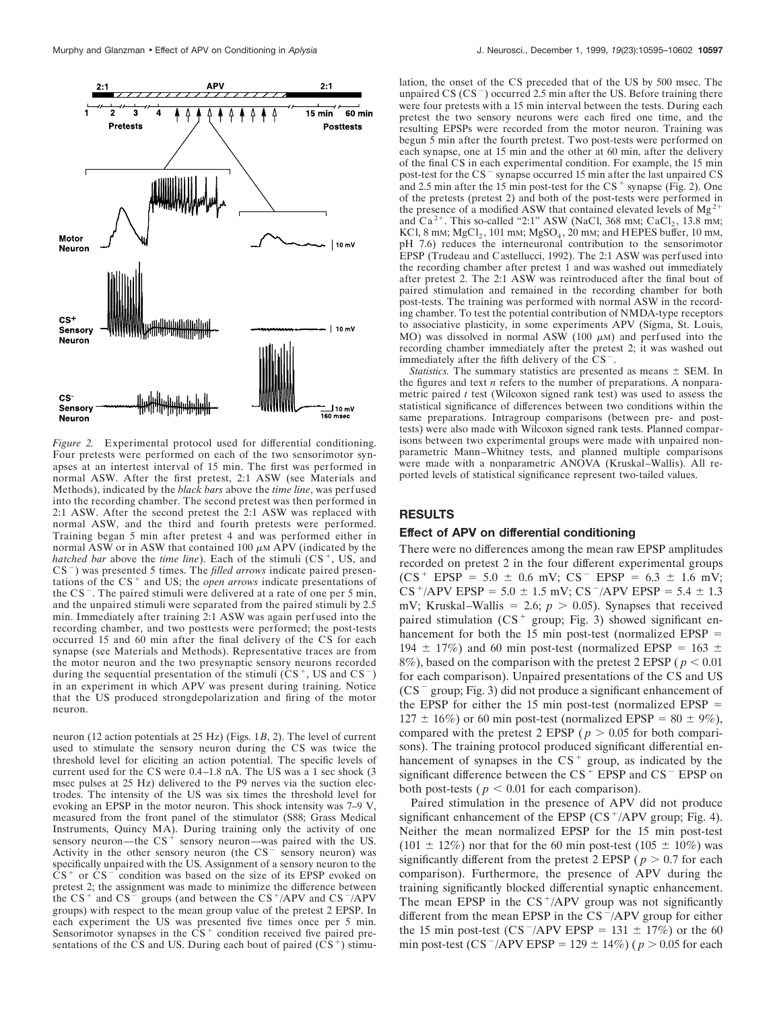

*Figure 2.* Experimental protocol used for differential conditioning. Four pretests were performed on each of the two sensorimotor synapses at an intertest interval of 15 min. The first was performed in normal ASW. After the first pretest, 2:1 ASW (see Materials and Methods), indicated by the *black bars* above the *time line*, was perfused into the recording chamber. The second pretest was then performed in 2:1 ASW. After the second pretest the 2:1 ASW was replaced with normal ASW, and the third and fourth pretests were performed. Training began 5 min after pretest 4 and was performed either in normal  $\overline{ASW}$  or in ASW that contained 100  $\mu$ M APV (indicated by the *hatched bar* above the *time line*). Each of the stimuli  $(CS^+$ , US, and CS<sup>-</sup>) was presented 5 times. The *filled arrows* indicate paired presentations of the  $CS<sup>+</sup>$  and US; the *open arrows* indicate presentations of the  $CS^-$ . The paired stimuli were delivered at a rate of one per 5 min, and the unpaired stimuli were separated from the paired stimuli by 2.5 min. Immediately after training 2:1 ASW was again perfused into the recording chamber, and two posttests were performed; the post-tests occurred 15 and 60 min after the final delivery of the CS for each synapse (see Materials and Methods). Representative traces are from the motor neuron and the two presynaptic sensory neurons recorded during the sequential presentation of the stimuli  $(CS^+$ , US and  $CS^-$ ) in an experiment in which APV was present during training. Notice that the US produced strongdepolarization and firing of the motor neuron.

neuron (12 action potentials at 25 Hz) (Figs. 1*B*, 2). The level of current used to stimulate the sensory neuron during the CS was twice the threshold level for eliciting an action potential. The specific levels of current used for the CS were 0.4–1.8 nA. The US was a 1 sec shock (3 msec pulses at 25 Hz) delivered to the P9 nerves via the suction electrodes. The intensity of the US was six times the threshold level for evoking an EPSP in the motor neuron. This shock intensity was 7–9 V, measured from the front panel of the stimulator (S88; Grass Medical Instruments, Quincy MA). During training only the activity of one sensory neuron—the  $CS^+$  sensory neuron—was paired with the US. Activity in the other sensory neuron (the  $CS$ <sup>-</sup> sensory neuron) was specifically unpaired with the US. Assignment of a sensory neuron to the  $CS^+$  or  $CS^-$  condition was based on the size of its EPSP evoked on pretest 2; the assignment was made to minimize the difference between the  $CS^+$  and  $CS^-$  groups (and between the  $CS^+/APV$  and  $CS^-/APV$ groups) with respect to the mean group value of the pretest 2 EPSP. In each experiment the US was presented five times once per 5 min. Sensorimotor synapses in the  $\overrightarrow{CS}^+$  condition received five paired presentations of the CS and US. During each bout of paired  $(CS<sup>+</sup>)$  stimu-

lation, the onset of the CS preceded that of the US by 500 msec. The unpaired  $CS (CS<sup>-</sup>)$  occurred 2.5 min after the US. Before training there were four pretests with a 15 min interval between the tests. During each pretest the two sensory neurons were each fired one time, and the resulting EPSPs were recorded from the motor neuron. Training was begun 5 min after the fourth pretest. Two post-tests were performed on each synapse, one at 15 min and the other at 60 min, after the delivery of the final CS in each experimental condition. For example, the 15 min post-test for the  $CS^-$  synapse occurred 15 min after the last unpaired  $CS$ and 2.5 min after the 15 min post-test for the  $CS<sup>+</sup>$  synapse (Fig. 2). One of the pretests (pretest 2) and both of the post-tests were performed in the presence of a modified ASW that contained elevated levels of  $Mg^{2+}$ and Ca<sup>2+</sup>. This so-called "2:1" ASW (NaCl, 368 mm; CaCl<sub>2</sub>, 13.8 mm; KCl, 8 mM;  $MgCl<sub>2</sub>$ , 101 mM;  $MgSO<sub>4</sub>$ , 20 mM; and HEPES buffer, 10 mM, pH 7.6) reduces the interneuronal contribution to the sensorimotor EPSP (Trudeau and Castellucci, 1992). The 2:1 ASW was perfused into the recording chamber after pretest 1 and was washed out immediately after pretest 2. The 2:1 ASW was reintroduced after the final bout of paired stimulation and remained in the recording chamber for both post-tests. The training was performed with normal ASW in the recording chamber. To test the potential contribution of NMDA-type receptors to associative plasticity, in some experiments APV (Sigma, St. Louis, MO) was dissolved in normal ASW (100  $\mu$ M) and perfused into the recording chamber immediately after the pretest 2; it was washed out immediately after the fifth delivery of the  $CS$ <sup>-</sup>

*Statistics*. The summary statistics are presented as means  $\pm$  SEM. In the figures and text *n* refers to the number of preparations. A nonparametric paired *t* test (Wilcoxon signed rank test) was used to assess the statistical significance of differences between two conditions within the same preparations. Intragroup comparisons (between pre- and posttests) were also made with Wilcoxon signed rank tests. Planned comparisons between two experimental groups were made with unpaired nonparametric Mann–Whitney tests, and planned multiple comparisons were made with a nonparametric ANOVA (Kruskal–Wallis). All reported levels of statistical significance represent two-tailed values.

# **RESULTS**

### **Effect of APV on differential conditioning**

There were no differences among the mean raw EPSP amplitudes recorded on pretest 2 in the four different experimental groups  $(CS^+ EPSP = 5.0 \pm 0.6 \text{ mV}; \text{CS}^- EPSP = 6.3 \pm 1.6 \text{ mV};$  $CS^+$ /APV EPSP = 5.0  $\pm$  1.5 mV; CS<sup>-</sup>/APV EPSP = 5.4  $\pm$  1.3 mV; Kruskal–Wallis = 2.6;  $p > 0.05$ ). Synapses that received paired stimulation ( $CS^+$  group; Fig. 3) showed significant enhancement for both the 15 min post-test (normalized EPSP  $=$ 194  $\pm$  17%) and 60 min post-test (normalized EPSP = 163  $\pm$ 8%), based on the comparison with the pretest 2 EPSP ( $p < 0.01$ ) for each comparison). Unpaired presentations of the CS and US  $(CS<sup>-</sup> group; Fig. 3)$  did not produce a significant enhancement of the EPSP for either the 15 min post-test (normalized EPSP  $=$  $127 \pm 16\%$ ) or 60 min post-test (normalized EPSP = 80  $\pm$  9%), compared with the pretest 2 EPSP ( $p > 0.05$  for both comparisons). The training protocol produced significant differential enhancement of synapses in the  $CS<sup>+</sup>$  group, as indicated by the significant difference between the  $CS$ <sup>+</sup> EPSP and  $CS$ <sup>-</sup> EPSP on both post-tests ( $p < 0.01$  for each comparison).

Paired stimulation in the presence of APV did not produce significant enhancement of the EPSP  $(CS^+/APV)$  group; Fig. 4). Neither the mean normalized EPSP for the 15 min post-test  $(101 \pm 12\%)$  nor that for the 60 min post-test  $(105 \pm 10\%)$  was significantly different from the pretest 2 EPSP ( $p > 0.7$  for each comparison). Furthermore, the presence of APV during the training significantly blocked differential synaptic enhancement. The mean EPSP in the  $CS^+/APV$  group was not significantly different from the mean EPSP in the  $CS^-/APV$  group for either the 15 min post-test (CS<sup>-</sup>/APV EPSP = 131  $\pm$  17%) or the 60 min post-test (CS<sup>-</sup>/APV EPSP = 129  $\pm$  14%) ( $p > 0.05$  for each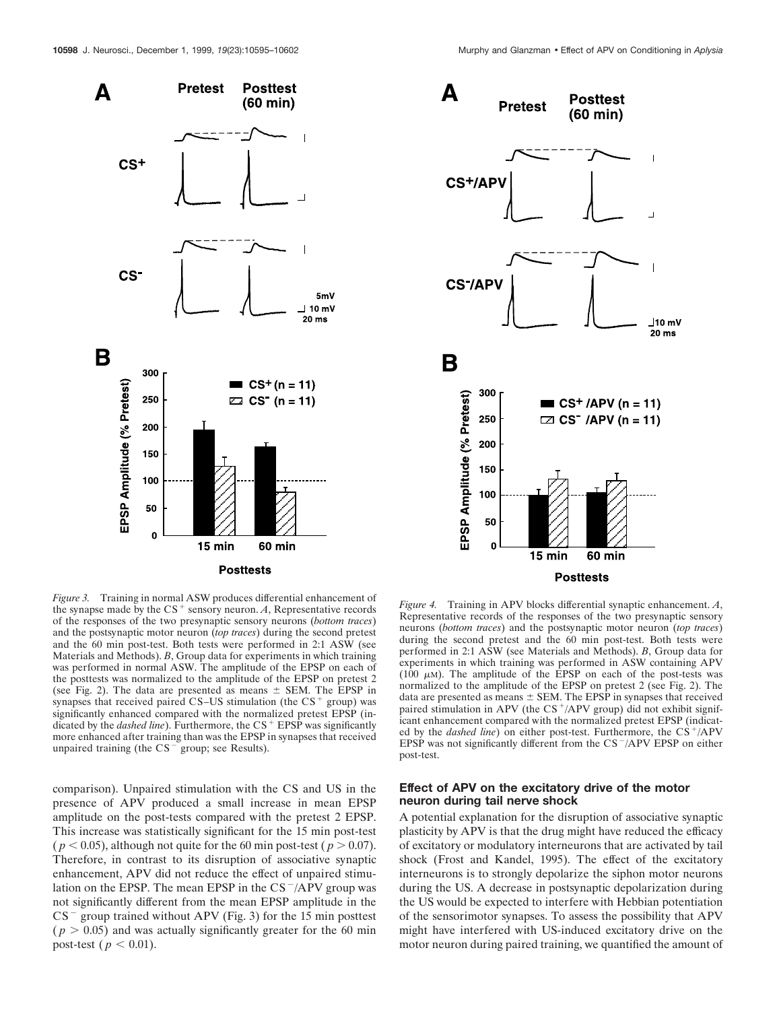

*Figure 3.* Training in normal ASW produces differential enhancement of the synapse made by the  $CS^+$  sensory neuron. *A*, Representative records of the responses of the two presynaptic sensory neurons (*bottom traces*) and the postsynaptic motor neuron (*top traces*) during the second pretest and the 60 min post-test. Both tests were performed in 2:1 ASW (see Materials and Methods). *B*, Group data for experiments in which training was performed in normal ASW. The amplitude of the EPSP on each of the posttests was normalized to the amplitude of the EPSP on pretest 2 (see Fig. 2). The data are presented as means  $\pm$  SEM. The EPSP in synapses that received paired CS–US stimulation (the  $CS$ <sup>+</sup> group) was significantly enhanced compared with the normalized pretest EPSP (indicated by the *dashed line*). Furthermore, the CS<sup>+</sup> EPSP was significantly more enhanced after training than was the EPSP in synapses that received unpaired training (the  $CS^-$  group; see Results).

comparison). Unpaired stimulation with the CS and US in the presence of APV produced a small increase in mean EPSP amplitude on the post-tests compared with the pretest 2 EPSP. This increase was statistically significant for the 15 min post-test (  $p < 0.05$ ), although not quite for the 60 min post-test (  $p > 0.07$ ). Therefore, in contrast to its disruption of associative synaptic enhancement, APV did not reduce the effect of unpaired stimulation on the EPSP. The mean EPSP in the CS $^-/$ APV group was not significantly different from the mean EPSP amplitude in the  $CS^-$  group trained without APV (Fig. 3) for the 15 min posttest  $(p > 0.05)$  and was actually significantly greater for the 60 min post-test ( $p < 0.01$ ).



*Figure 4.* Training in APV blocks differential synaptic enhancement. *A*, Representative records of the responses of the two presynaptic sensory neurons (*bottom traces*) and the postsynaptic motor neuron (*top traces*) during the second pretest and the 60 min post-test. Both tests were performed in 2:1 ASW (see Materials and Methods). *B*, Group data for experiments in which training was performed in ASW containing APV (100  $\mu$ M). The amplitude of the EPSP on each of the post-tests was normalized to the amplitude of the EPSP on pretest 2 (see Fig. 2). The data are presented as means  $\pm$  SEM. The EPSP in synapses that received paired stimulation in APV (the  $CS<sup>+</sup>/APV$  group) did not exhibit significant enhancement compared with the normalized pretest EPSP (indicated by the *dashed line*) on either post-test. Furthermore, the CS<sup>+</sup>/APV EPSP was not significantly different from the  $CS^-/APV$  EPSP on either post-test.

## **Effect of APV on the excitatory drive of the motor neuron during tail nerve shock**

A potential explanation for the disruption of associative synaptic plasticity by APV is that the drug might have reduced the efficacy of excitatory or modulatory interneurons that are activated by tail shock (Frost and Kandel, 1995). The effect of the excitatory interneurons is to strongly depolarize the siphon motor neurons during the US. A decrease in postsynaptic depolarization during the US would be expected to interfere with Hebbian potentiation of the sensorimotor synapses. To assess the possibility that APV might have interfered with US-induced excitatory drive on the motor neuron during paired training, we quantified the amount of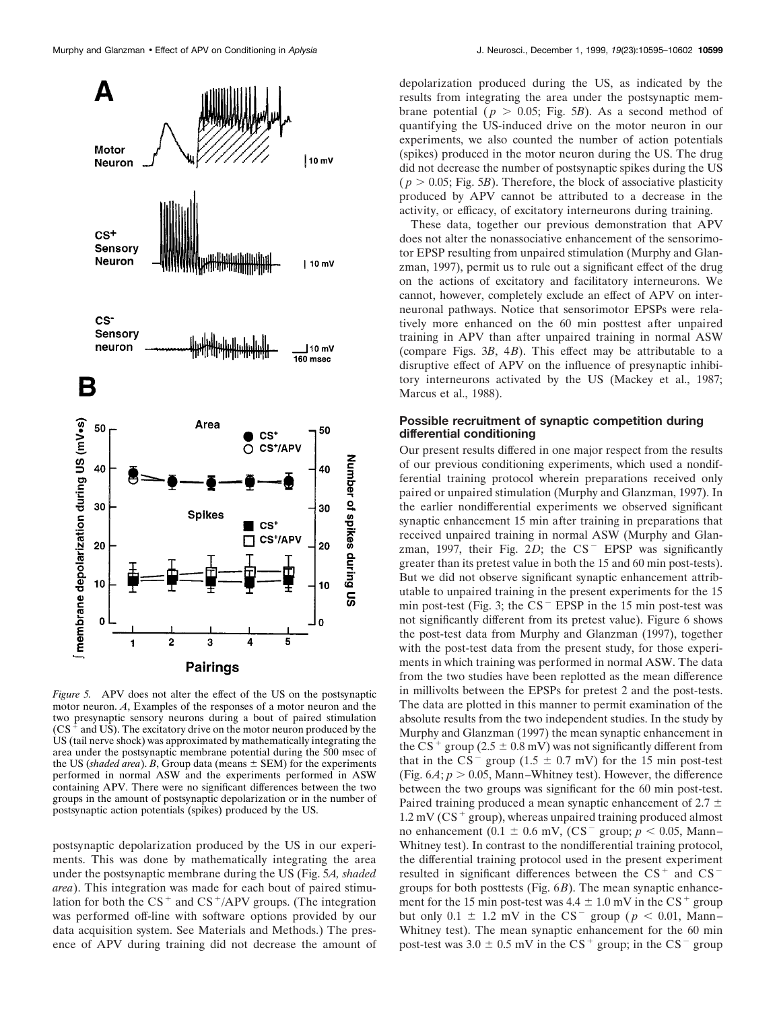

*Figure 5.* APV does not alter the effect of the US on the postsynaptic motor neuron. *A*, Examples of the responses of a motor neuron and the two presynaptic sensory neurons during a bout of paired stimulation  $(CS<sup>+</sup>$  and US). The excitatory drive on the motor neuron produced by the US (tail nerve shock) was approximated by mathematically integrating the area under the postsynaptic membrane potential during the 500 msec of the US (*shaded area*). *B*, Group data (means  $\pm$  SEM) for the experiments performed in normal ASW and the experiments performed in ASW containing APV. There were no significant differences between the two groups in the amount of postsynaptic depolarization or in the number of postsynaptic action potentials (spikes) produced by the US.

postsynaptic depolarization produced by the US in our experiments. This was done by mathematically integrating the area under the postsynaptic membrane during the US (Fig. 5*A, shaded area*). This integration was made for each bout of paired stimulation for both the  $CS^+$  and  $CS^+/APV$  groups. (The integration was performed off-line with software options provided by our data acquisition system. See Materials and Methods.) The presence of APV during training did not decrease the amount of

depolarization produced during the US, as indicated by the results from integrating the area under the postsynaptic membrane potential ( $p > 0.05$ ; Fig. 5*B*). As a second method of quantifying the US-induced drive on the motor neuron in our experiments, we also counted the number of action potentials (spikes) produced in the motor neuron during the US. The drug did not decrease the number of postsynaptic spikes during the US  $(p > 0.05;$  Fig. 5*B*). Therefore, the block of associative plasticity produced by APV cannot be attributed to a decrease in the activity, or efficacy, of excitatory interneurons during training.

These data, together our previous demonstration that APV does not alter the nonassociative enhancement of the sensorimotor EPSP resulting from unpaired stimulation (Murphy and Glanzman, 1997), permit us to rule out a significant effect of the drug on the actions of excitatory and facilitatory interneurons. We cannot, however, completely exclude an effect of APV on interneuronal pathways. Notice that sensorimotor EPSPs were relatively more enhanced on the 60 min posttest after unpaired training in APV than after unpaired training in normal ASW (compare Figs. 3*B*, 4*B*). This effect may be attributable to a disruptive effect of APV on the influence of presynaptic inhibitory interneurons activated by the US (Mackey et al., 1987; Marcus et al., 1988).

## **Possible recruitment of synaptic competition during differential conditioning**

Our present results differed in one major respect from the results of our previous conditioning experiments, which used a nondifferential training protocol wherein preparations received only paired or unpaired stimulation (Murphy and Glanzman, 1997). In the earlier nondifferential experiments we observed significant synaptic enhancement 15 min after training in preparations that received unpaired training in normal ASW (Murphy and Glanzman, 1997, their Fig.  $2D$ ; the  $CS^-$  EPSP was significantly greater than its pretest value in both the 15 and 60 min post-tests). But we did not observe significant synaptic enhancement attributable to unpaired training in the present experiments for the 15 min post-test (Fig. 3; the  $CS$ <sup>-</sup> EPSP in the 15 min post-test was not significantly different from its pretest value). Figure 6 shows the post-test data from Murphy and Glanzman (1997), together with the post-test data from the present study, for those experiments in which training was performed in normal ASW. The data from the two studies have been replotted as the mean difference in millivolts between the EPSPs for pretest 2 and the post-tests. The data are plotted in this manner to permit examination of the absolute results from the two independent studies. In the study by Murphy and Glanzman (1997) the mean synaptic enhancement in the CS<sup>+</sup> group (2.5  $\pm$  0.8 mV) was not significantly different from that in the  $CS^-$  group (1.5  $\pm$  0.7 mV) for the 15 min post-test (Fig.  $6A$ ;  $p > 0.05$ , Mann–Whitney test). However, the difference between the two groups was significant for the 60 min post-test. Paired training produced a mean synaptic enhancement of 2.7  $\pm$  $1.2 \text{ mV}$  (CS<sup>+</sup> group), whereas unpaired training produced almost no enhancement ( $0.1 \pm 0.6$  mV, (CS<sup>-</sup> group;  $p < 0.05$ , Mann– Whitney test). In contrast to the nondifferential training protocol, the differential training protocol used in the present experiment resulted in significant differences between the  $CS$ <sup>+</sup> and  $CS$ <sup>-</sup> groups for both posttests (Fig. 6*B*). The mean synaptic enhancement for the 15 min post-test was  $4.4 \pm 1.0$  mV in the CS<sup>+</sup> group but only  $0.1 \pm 1.2$  mV in the CS<sup>-</sup> group ( $p < 0.01$ , Mann– Whitney test). The mean synaptic enhancement for the 60 min post-test was  $3.0 \pm 0.5$  mV in the CS<sup>+</sup> group; in the CS<sup>-</sup> group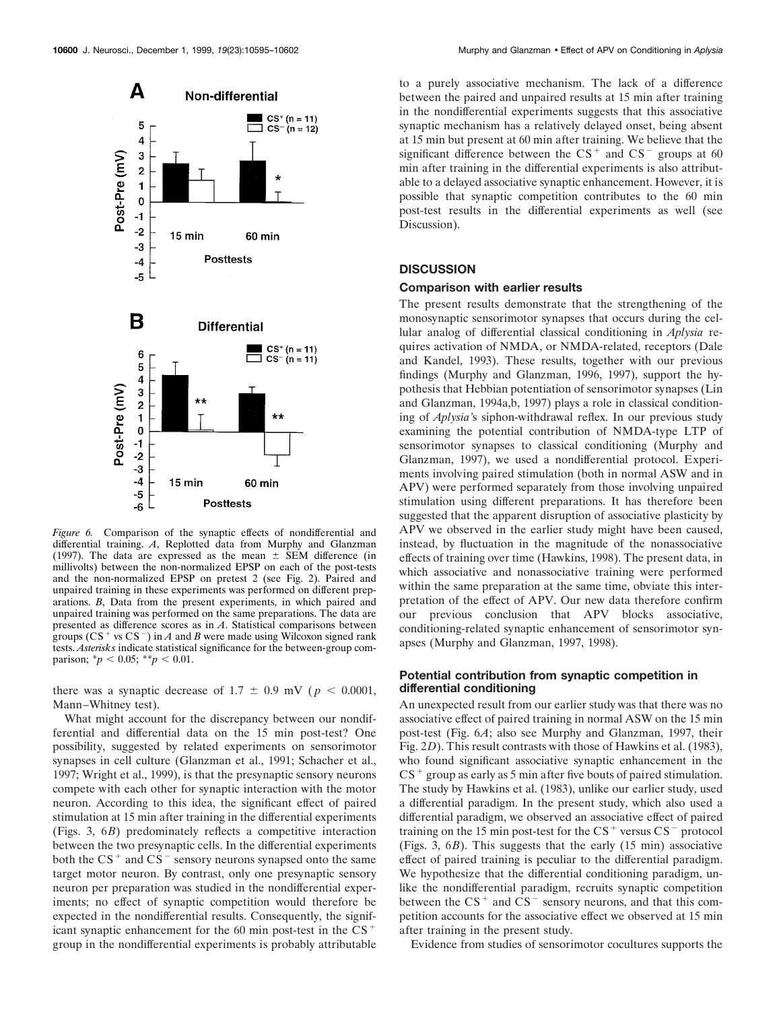

*Figure 6.* Comparison of the synaptic effects of nondifferential and differential training. *A*, Replotted data from Murphy and Glanzman (1997). The data are expressed as the mean  $\pm$  SEM difference (in millivolts) between the non-normalized EPSP on each of the post-tests and the non-normalized EPSP on pretest 2 (see Fig. 2). Paired and unpaired training in these experiments was performed on different preparations. *B*, Data from the present experiments, in which paired and unpaired training was performed on the same preparations. The data are presented as difference scores as in *A*. Statistical comparisons between groups  $(CS<sup>+</sup>$  vs  $CS<sup>-</sup>$ ) in *A* and *B* were made using Wilcoxon signed rank tests. *Asterisks* indicate statistical significance for the between-group comparison;  $\binom{*}{p}$  < 0.05;  $\binom{*}{p}$  < 0.01.

there was a synaptic decrease of  $1.7 \pm 0.9$  mV ( $p < 0.0001$ , Mann–Whitney test).

What might account for the discrepancy between our nondifferential and differential data on the 15 min post-test? One possibility, suggested by related experiments on sensorimotor synapses in cell culture (Glanzman et al., 1991; Schacher et al., 1997; Wright et al., 1999), is that the presynaptic sensory neurons compete with each other for synaptic interaction with the motor neuron. According to this idea, the significant effect of paired stimulation at 15 min after training in the differential experiments (Figs. 3, 6*B*) predominately reflects a competitive interaction between the two presynaptic cells. In the differential experiments both the  $CS<sup>+</sup>$  and  $CS<sup>-</sup>$  sensory neurons synapsed onto the same target motor neuron. By contrast, only one presynaptic sensory neuron per preparation was studied in the nondifferential experiments; no effect of synaptic competition would therefore be expected in the nondifferential results. Consequently, the significant synaptic enhancement for the  $60$  min post-test in the  $CS<sup>+</sup>$ group in the nondifferential experiments is probably attributable

to a purely associative mechanism. The lack of a difference between the paired and unpaired results at 15 min after training in the nondifferential experiments suggests that this associative synaptic mechanism has a relatively delayed onset, being absent at 15 min but present at 60 min after training. We believe that the significant difference between the  $CS<sup>+</sup>$  and  $CS<sup>-</sup>$  groups at 60 min after training in the differential experiments is also attributable to a delayed associative synaptic enhancement. However, it is possible that synaptic competition contributes to the 60 min post-test results in the differential experiments as well (see Discussion).

### **DISCUSSION**

#### **Comparison with earlier results**

The present results demonstrate that the strengthening of the monosynaptic sensorimotor synapses that occurs during the cellular analog of differential classical conditioning in *Aplysia* requires activation of NMDA, or NMDA-related, receptors (Dale and Kandel, 1993). These results, together with our previous findings (Murphy and Glanzman, 1996, 1997), support the hypothesis that Hebbian potentiation of sensorimotor synapses (Lin and Glanzman, 1994a,b, 1997) plays a role in classical conditioning of *Aplysia'*s siphon-withdrawal reflex. In our previous study examining the potential contribution of NMDA-type LTP of sensorimotor synapses to classical conditioning (Murphy and Glanzman, 1997), we used a nondifferential protocol. Experiments involving paired stimulation (both in normal ASW and in APV) were performed separately from those involving unpaired stimulation using different preparations. It has therefore been suggested that the apparent disruption of associative plasticity by APV we observed in the earlier study might have been caused, instead, by fluctuation in the magnitude of the nonassociative effects of training over time (Hawkins, 1998). The present data, in which associative and nonassociative training were performed within the same preparation at the same time, obviate this interpretation of the effect of APV. Our new data therefore confirm our previous conclusion that APV blocks associative, conditioning-related synaptic enhancement of sensorimotor synapses (Murphy and Glanzman, 1997, 1998).

## **Potential contribution from synaptic competition in differential conditioning**

An unexpected result from our earlier study was that there was no associative effect of paired training in normal ASW on the 15 min post-test (Fig. 6*A*; also see Murphy and Glanzman, 1997, their Fig. 2*D*). This result contrasts with those of Hawkins et al. (1983), who found significant associative synaptic enhancement in the  $CS^+$  group as early as 5 min after five bouts of paired stimulation. The study by Hawkins et al. (1983), unlike our earlier study, used a differential paradigm. In the present study, which also used a differential paradigm, we observed an associative effect of paired training on the 15 min post-test for the  $CS^+$  versus  $CS^-$  protocol (Figs. 3, 6*B*). This suggests that the early (15 min) associative effect of paired training is peculiar to the differential paradigm. We hypothesize that the differential conditioning paradigm, unlike the nondifferential paradigm, recruits synaptic competition between the  $CS^+$  and  $CS^-$  sensory neurons, and that this competition accounts for the associative effect we observed at 15 min after training in the present study.

Evidence from studies of sensorimotor cocultures supports the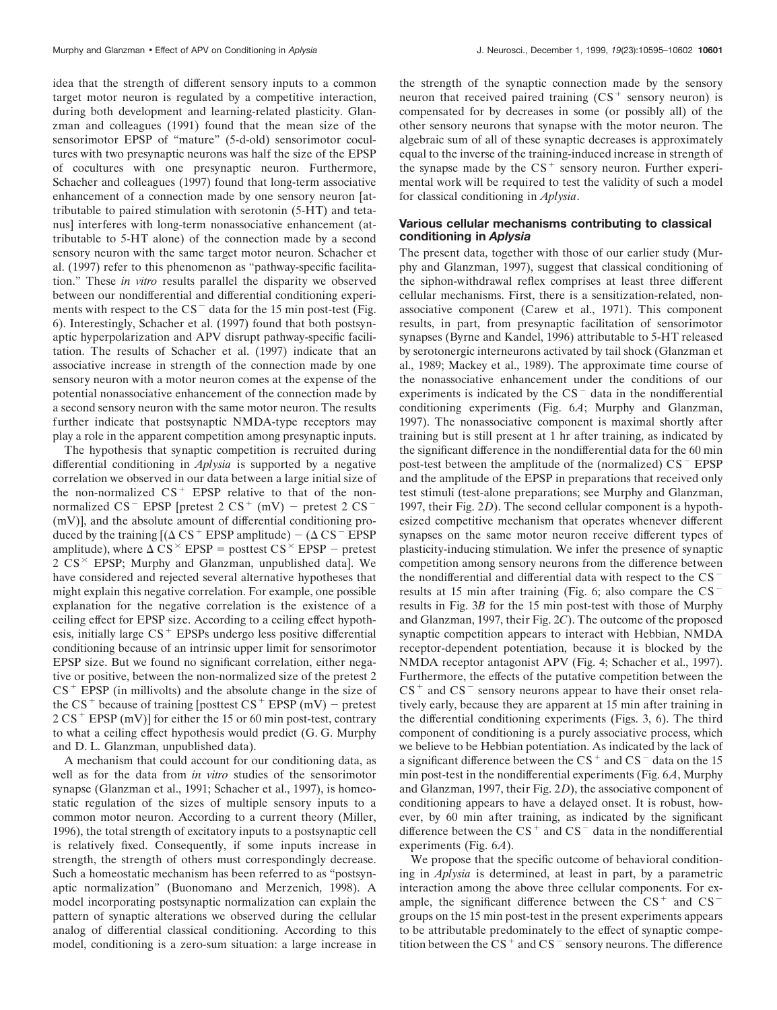idea that the strength of different sensory inputs to a common target motor neuron is regulated by a competitive interaction, during both development and learning-related plasticity. Glanzman and colleagues (1991) found that the mean size of the sensorimotor EPSP of "mature" (5-d-old) sensorimotor cocultures with two presynaptic neurons was half the size of the EPSP of cocultures with one presynaptic neuron. Furthermore, Schacher and colleagues (1997) found that long-term associative enhancement of a connection made by one sensory neuron [attributable to paired stimulation with serotonin (5-HT) and tetanus] interferes with long-term nonassociative enhancement (attributable to 5-HT alone) of the connection made by a second sensory neuron with the same target motor neuron. Schacher et al. (1997) refer to this phenomenon as "pathway-specific facilitation." These *in vitro* results parallel the disparity we observed between our nondifferential and differential conditioning experiments with respect to the  $CS$ <sup>-</sup> data for the 15 min post-test (Fig. 6). Interestingly, Schacher et al. (1997) found that both postsynaptic hyperpolarization and APV disrupt pathway-specific facilitation. The results of Schacher et al. (1997) indicate that an associative increase in strength of the connection made by one sensory neuron with a motor neuron comes at the expense of the potential nonassociative enhancement of the connection made by a second sensory neuron with the same motor neuron. The results further indicate that postsynaptic NMDA-type receptors may play a role in the apparent competition among presynaptic inputs.

The hypothesis that synaptic competition is recruited during differential conditioning in *Aplysia* is supported by a negative correlation we observed in our data between a large initial size of the non-normalized  $CS$ <sup>+</sup> EPSP relative to that of the nonnormalized  $CS^-$  EPSP [pretest 2  $CS^+$  (mV) – pretest 2  $CS^-$ (mV)], and the absolute amount of differential conditioning produced by the training  $[(\Delta \text{ CS}^+ \text{ EPSP} \text{ amplitude}) - (\Delta \text{ CS}^- \text{ EPSP} \text{]}$ amplitude), where  $\Delta$  CS<sup> $\times$ </sup> EPSP = posttest CS<sup> $\times$ </sup> EPSP - pretest  $2 \text{ CS}^{\times}$  EPSP; Murphy and Glanzman, unpublished data]. We have considered and rejected several alternative hypotheses that might explain this negative correlation. For example, one possible explanation for the negative correlation is the existence of a ceiling effect for EPSP size. According to a ceiling effect hypothesis, initially large  $CS$ <sup>+</sup> EPSPs undergo less positive differential conditioning because of an intrinsic upper limit for sensorimotor EPSP size. But we found no significant correlation, either negative or positive, between the non-normalized size of the pretest 2  $CS$ <sup>+</sup> EPSP (in millivolts) and the absolute change in the size of the CS<sup>+</sup> because of training [posttest CS<sup>+</sup> EPSP (mV) – pretest  $2 CS<sup>+</sup> EPSP (mV)$ ] for either the 15 or 60 min post-test, contrary to what a ceiling effect hypothesis would predict (G. G. Murphy and D. L. Glanzman, unpublished data).

A mechanism that could account for our conditioning data, as well as for the data from *in vitro* studies of the sensorimotor synapse (Glanzman et al., 1991; Schacher et al., 1997), is homeostatic regulation of the sizes of multiple sensory inputs to a common motor neuron. According to a current theory (Miller, 1996), the total strength of excitatory inputs to a postsynaptic cell is relatively fixed. Consequently, if some inputs increase in strength, the strength of others must correspondingly decrease. Such a homeostatic mechanism has been referred to as "postsynaptic normalization" (Buonomano and Merzenich, 1998). A model incorporating postsynaptic normalization can explain the pattern of synaptic alterations we observed during the cellular analog of differential classical conditioning. According to this model, conditioning is a zero-sum situation: a large increase in the strength of the synaptic connection made by the sensory neuron that received paired training  $(CS<sup>+</sup>$  sensory neuron) is compensated for by decreases in some (or possibly all) of the other sensory neurons that synapse with the motor neuron. The algebraic sum of all of these synaptic decreases is approximately equal to the inverse of the training-induced increase in strength of the synapse made by the  $CS<sup>+</sup>$  sensory neuron. Further experimental work will be required to test the validity of such a model for classical conditioning in *Aplysia*.

# **Various cellular mechanisms contributing to classical conditioning in** *Aplysia*

The present data, together with those of our earlier study (Murphy and Glanzman, 1997), suggest that classical conditioning of the siphon-withdrawal reflex comprises at least three different cellular mechanisms. First, there is a sensitization-related, nonassociative component (Carew et al., 1971). This component results, in part, from presynaptic facilitation of sensorimotor synapses (Byrne and Kandel, 1996) attributable to 5-HT released by serotonergic interneurons activated by tail shock (Glanzman et al., 1989; Mackey et al., 1989). The approximate time course of the nonassociative enhancement under the conditions of our experiments is indicated by the  $CS<sup>-</sup>$  data in the nondifferential conditioning experiments (Fig. 6*A*; Murphy and Glanzman, 1997). The nonassociative component is maximal shortly after training but is still present at 1 hr after training, as indicated by the significant difference in the nondifferential data for the 60 min post-test between the amplitude of the (normalized)  $CS$ <sup>-</sup> EPSP and the amplitude of the EPSP in preparations that received only test stimuli (test-alone preparations; see Murphy and Glanzman, 1997, their Fig. 2*D*). The second cellular component is a hypothesized competitive mechanism that operates whenever different synapses on the same motor neuron receive different types of plasticity-inducing stimulation. We infer the presence of synaptic competition among sensory neurons from the difference between the nondifferential and differential data with respect to the  $CS$ <sup>-</sup> results at 15 min after training (Fig. 6; also compare the  $CS$ <sup>-</sup> results in Fig. 3*B* for the 15 min post-test with those of Murphy and Glanzman, 1997, their Fig. 2*C*). The outcome of the proposed synaptic competition appears to interact with Hebbian, NMDA receptor-dependent potentiation, because it is blocked by the NMDA receptor antagonist APV (Fig. 4; Schacher et al., 1997). Furthermore, the effects of the putative competition between the  $CS^+$  and  $CS^-$  sensory neurons appear to have their onset relatively early, because they are apparent at 15 min after training in the differential conditioning experiments (Figs. 3, 6). The third component of conditioning is a purely associative process, which we believe to be Hebbian potentiation. As indicated by the lack of a significant difference between the  $CS<sup>+</sup>$  and  $CS<sup>-</sup>$  data on the 15 min post-test in the nondifferential experiments (Fig. 6*A*, Murphy and Glanzman, 1997, their Fig. 2*D*), the associative component of conditioning appears to have a delayed onset. It is robust, however, by 60 min after training, as indicated by the significant difference between the  $CS^+$  and  $CS^-$  data in the nondifferential experiments (Fig. 6*A*).

We propose that the specific outcome of behavioral conditioning in *Aplysia* is determined, at least in part, by a parametric interaction among the above three cellular components. For example, the significant difference between the  $CS<sup>+</sup>$  and  $CS$ groups on the 15 min post-test in the present experiments appears to be attributable predominately to the effect of synaptic competition between the  $CS^+$  and  $CS^-$  sensory neurons. The difference